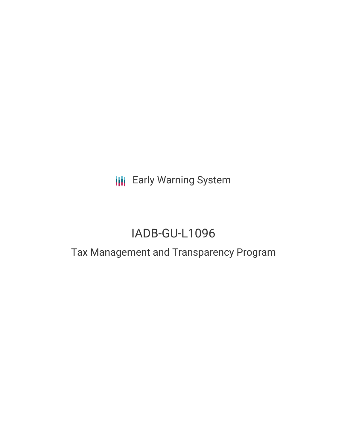## **III** Early Warning System

# IADB-GU-L1096

### Tax Management and Transparency Program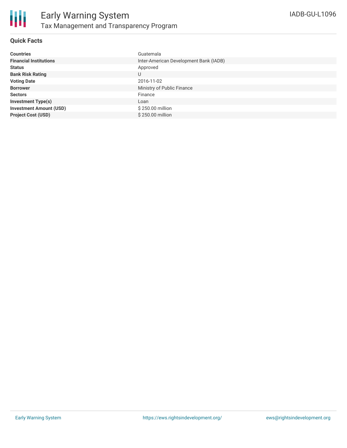

#### **Quick Facts**

| <b>Countries</b>               | Guatemala                              |
|--------------------------------|----------------------------------------|
| <b>Financial Institutions</b>  | Inter-American Development Bank (IADB) |
| <b>Status</b>                  | Approved                               |
| <b>Bank Risk Rating</b>        | U                                      |
| <b>Voting Date</b>             | 2016-11-02                             |
| <b>Borrower</b>                | Ministry of Public Finance             |
| <b>Sectors</b>                 | Finance                                |
| <b>Investment Type(s)</b>      | Loan                                   |
| <b>Investment Amount (USD)</b> | \$250.00 million                       |
| <b>Project Cost (USD)</b>      | \$250.00 million                       |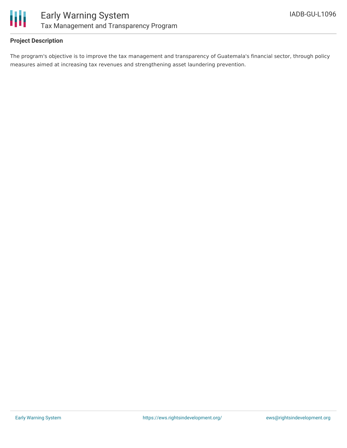

#### **Project Description**

The program's objective is to improve the tax management and transparency of Guatemala's financial sector, through policy measures aimed at increasing tax revenues and strengthening asset laundering prevention.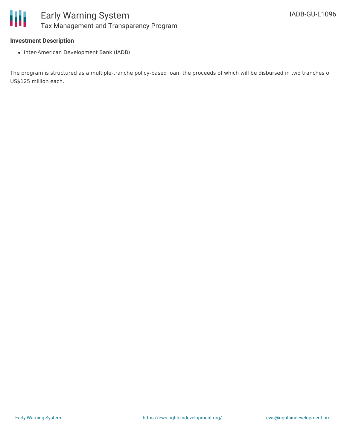

#### **Investment Description**

• Inter-American Development Bank (IADB)

The program is structured as a multiple-tranche policy-based loan, the proceeds of which will be disbursed in two tranches of US\$125 million each.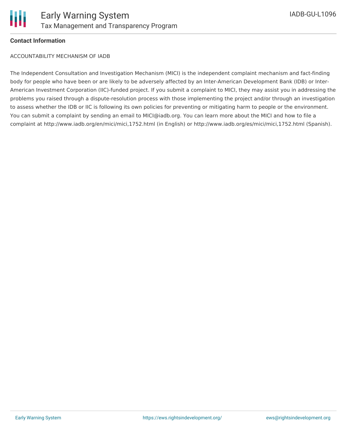

#### **Contact Information**

ACCOUNTABILITY MECHANISM OF IADB

The Independent Consultation and Investigation Mechanism (MICI) is the independent complaint mechanism and fact-finding body for people who have been or are likely to be adversely affected by an Inter-American Development Bank (IDB) or Inter-American Investment Corporation (IIC)-funded project. If you submit a complaint to MICI, they may assist you in addressing the problems you raised through a dispute-resolution process with those implementing the project and/or through an investigation to assess whether the IDB or IIC is following its own policies for preventing or mitigating harm to people or the environment. You can submit a complaint by sending an email to MICI@iadb.org. You can learn more about the MICI and how to file a complaint at http://www.iadb.org/en/mici/mici,1752.html (in English) or http://www.iadb.org/es/mici/mici,1752.html (Spanish).